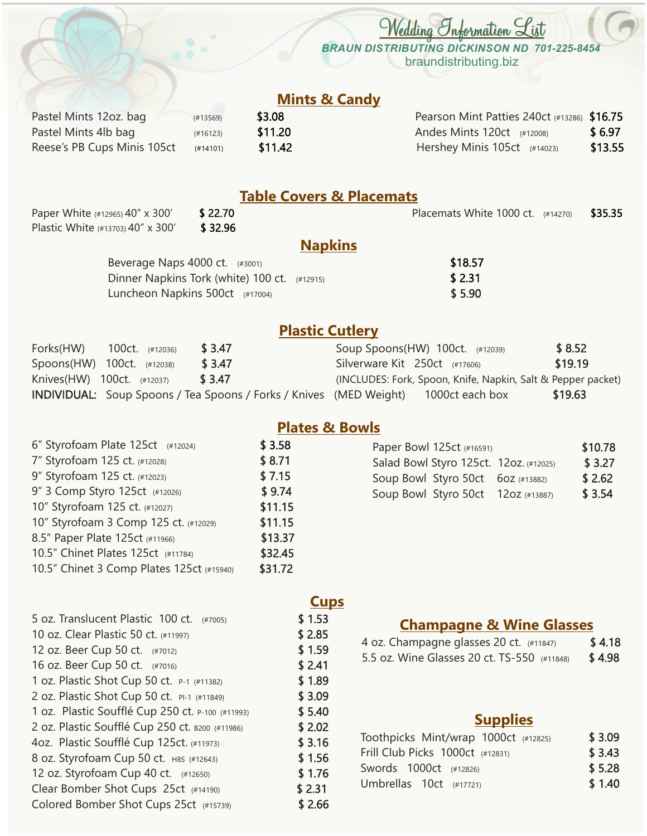*BRAUN DISTRIBUTING DICKINSON ND 701-225-8454* braundistributing.biz

*Wedding Information List*

### **Mints & Candy**

| Pastel Mints 12oz. bag      | (#13569) |
|-----------------------------|----------|
| Pastel Mints 4lb bag        | (#16123) |
| Reese's PB Cups Minis 105ct | (H14101) |

 $$11.20$   $$6.97$  $$11.42$   $Hershev Minis 105ct$  (#14023)  $$13.55$ \$3.08 Pearson Mint Patties 240ct (#13286) \$16.75

### **Table Covers & Placemats**

Plastic White (#13703) 40" x 300' \$ 32.96 Paper White (#12965) 40" x 300' \$22.70 \$22.70 Placemats White 1000 ct. (#14270) \$35.35

### **Napkins**

| Beverage Naps $4000$ ct. $(#3001)$             | \$18.57 |
|------------------------------------------------|---------|
| Dinner Napkins Tork (white) 100 ct. $(#12915)$ | \$2.31  |
| Luncheon Napkins 500 $ct$ (#17004)             | \$5.90  |

# **Plastic Cutlery**

| Forks(HW) | 100ct. (#12036)            | \$ 3.47                                                                                   |                                 | Soup Spoons(HW) 100ct. (#12039)                              | \$8.52  |
|-----------|----------------------------|-------------------------------------------------------------------------------------------|---------------------------------|--------------------------------------------------------------|---------|
|           | Spoons(HW) 100ct. (#12038) | \$ 3.47                                                                                   | Silverware Kit $250ct$ (#17606) |                                                              | \$19.19 |
|           | Knives(HW) 100ct. (#12037) | \$ 3.47                                                                                   |                                 | (INCLUDES: Fork, Spoon, Knife, Napkin, Salt & Pepper packet) |         |
|           |                            | <b>INDIVIDUAL:</b> Soup Spoons / Tea Spoons / Forks / Knives (MED Weight) 1000ct each box |                                 |                                                              | \$19.63 |

#### 6" Styrofoam Plate 125ct  $(#12024)$  \$ 3.58 10" Styrofoam 125 ct. (#12027) \$11.15 7" Styrofoam 125 ct. (#12028) \$ 8.71 9" Styrofoam 125 ct. (#12023) \$7.15 9" 3 Comp Styro 125ct (#12026) \$ 9.74 8.5" Paper Plate 125ct (#11966) \$13.37 10.5" Chinet Plates 125ct (#11784) \$32.45 10" Styrofoam 3 Comp 125 ct. (#12029) \$11.15 10.5" Chinet 3 Comp Plates 125ct (#15940) \$31.72

# **Plates & Bowls**

# Soup Bowl Styro 50ct 6oz (#13882) \$ 2.62 Paper Bowl 125ct (#16591) \$10.78 Salad Bowl Styro 125ct. 12oz. (#12025) \$ 3.27 Soup Bowl Styro 50ct 12oz (#13887) \$ 3.54

| 5 oz. Translucent Plastic 100 ct. (#7005)        | \$1.53 |
|--------------------------------------------------|--------|
| 10 oz. Clear Plastic 50 ct. (#11997)             | \$2.85 |
| 12 oz. Beer Cup 50 ct. (#7012)                   | \$1.59 |
| 16 oz. Beer Cup 50 ct. (#7016)                   | \$2.41 |
| 1 oz. Plastic Shot Cup 50 ct. P-1 (#11382)       | \$1.89 |
| 2 oz. Plastic Shot Cup 50 ct. PI-1 (#11849)      | \$3.09 |
| 1 oz. Plastic Soufflé Cup 250 ct. P-100 (#11993) | \$5.40 |
| 2 oz. Plastic Soufflé Cup 250 ct. B200 (#11986)  | \$2.02 |
| 4oz. Plastic Soufflé Cup 125ct. (#11973)         | \$3.16 |
| 8 oz. Styrofoam Cup 50 ct. H8S (#12643)          | \$1.56 |
| 12 oz. Styrofoam Cup 40 ct. (#12650)             | \$1.76 |
| Clear Bomber Shot Cups 25ct (#14190)             | \$2.31 |
| Colored Bomber Shot Cups 25ct (#15739)           | \$2.66 |

# **Cups**

# **Champagne & Wine Glasses**

| 4 oz. Champagne glasses 20 ct. (#11847)     | \$4.18 |
|---------------------------------------------|--------|
| 5.5 oz. Wine Glasses 20 ct. TS-550 (#11848) | \$4.98 |

# **Supplies**

| Toothpicks Mint/wrap 1000ct (#12825) | \$3.09 |
|--------------------------------------|--------|
| Frill Club Picks 1000ct (#12831)     | \$3.43 |
| Swords 1000ct (#12826)               | \$5.28 |
| Umbrellas $10ct$ (#17721)            | \$1.40 |
|                                      |        |